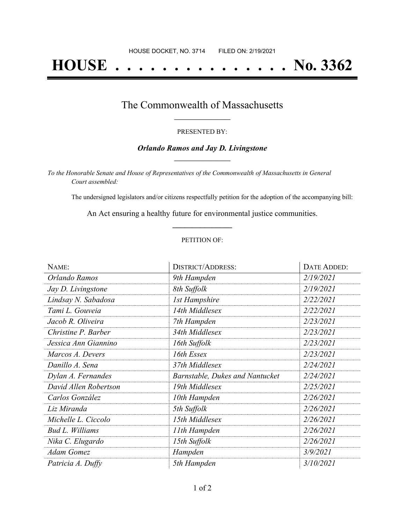# **HOUSE . . . . . . . . . . . . . . . No. 3362**

### The Commonwealth of Massachusetts **\_\_\_\_\_\_\_\_\_\_\_\_\_\_\_\_\_**

#### PRESENTED BY:

#### *Orlando Ramos and Jay D. Livingstone* **\_\_\_\_\_\_\_\_\_\_\_\_\_\_\_\_\_**

*To the Honorable Senate and House of Representatives of the Commonwealth of Massachusetts in General Court assembled:*

The undersigned legislators and/or citizens respectfully petition for the adoption of the accompanying bill:

An Act ensuring a healthy future for environmental justice communities. **\_\_\_\_\_\_\_\_\_\_\_\_\_\_\_**

#### PETITION OF:

| NAME:                  | <b>DISTRICT/ADDRESS:</b>               | DATE ADDED: |
|------------------------|----------------------------------------|-------------|
| Orlando Ramos          | 9th Hampden                            | 2/19/2021   |
| Jay D. Livingstone     | 8th Suffolk                            | 2/19/2021   |
| Lindsay N. Sabadosa    | <b>1st Hampshire</b>                   | 2/22/2021   |
| Tami L. Gouveia        | 14th Middlesex                         | 2/22/2021   |
| Jacob R. Oliveira      | 7th Hampden                            | 2/23/2021   |
| Christine P. Barber    | 34th Middlesex                         | 2/23/2021   |
| Jessica Ann Giannino   | 16th Suffolk                           | 2/23/2021   |
| Marcos A. Devers       | 16th Essex                             | 2/23/2021   |
| Danillo A. Sena        | 37th Middlesex                         | 2/24/2021   |
| Dylan A. Fernandes     | <b>Barnstable, Dukes and Nantucket</b> | 2/24/2021   |
| David Allen Robertson  | 19th Middlesex                         | 2/25/2021   |
| Carlos González        | 10th Hampden                           | 2/26/2021   |
| Liz Miranda            | 5th Suffolk                            | 2/26/2021   |
| Michelle L. Ciccolo    | 15th Middlesex                         | 2/26/2021   |
| <b>Bud L. Williams</b> | 11th Hampden                           | 2/26/2021   |
| Nika C. Elugardo       | 15th Suffolk                           | 2/26/2021   |
| <b>Adam Gomez</b>      | Hampden                                | 3/9/2021    |
| Patricia A. Duffy      | 5th Hampden                            | 3/10/2021   |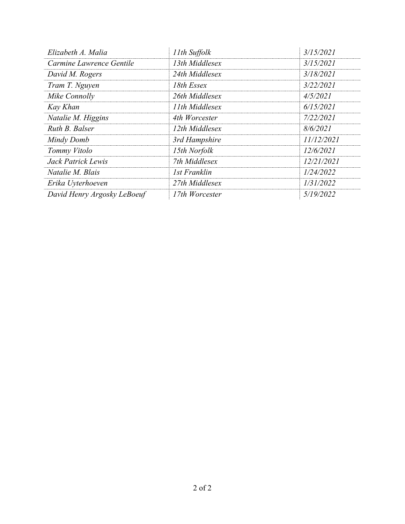| Elizabeth A. Malia          | 11th Suffolk   | 3/15/2021  |
|-----------------------------|----------------|------------|
| Carmine Lawrence Gentile    | 13th Middlesex | 3/15/2021  |
| David M. Rogers             | 24th Middlesex | 3/18/2021  |
| Tram T. Nguyen              | 18th Essex     | 3/22/2021  |
| Mike Connolly               | 26th Middlesex | 4/5/2021   |
| Kay Khan                    | 11th Middlesex | 6/15/2021  |
| Natalie M. Higgins          | 4th Worcester  | 7/22/2021  |
| Ruth B. Balser              | 12th Middlesex | 8/6/2021   |
| Mindy Domb                  | 3rd Hampshire  | 11/12/2021 |
| Tommy Vitolo                | 15th Norfolk   | 12/6/2021  |
| Jack Patrick Lewis          | 7th Middlesex  | 12/21/2021 |
| Natalie M. Blais            | 1st Franklin   | 1/24/2022  |
| Erika Uyterhoeven           | 27th Middlesex | 1/31/2022  |
| David Henry Argosky LeBoeuf | 17th Worcester | 5/19/2022  |